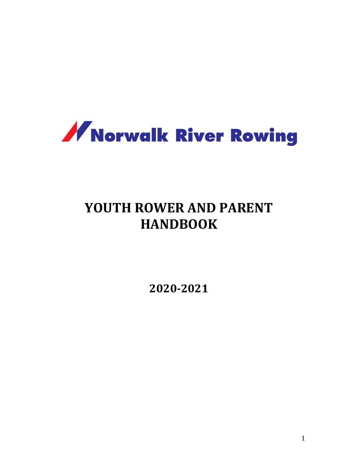

# **YOUTH ROWER AND PARENT HANDBOOK**

**2020-2021**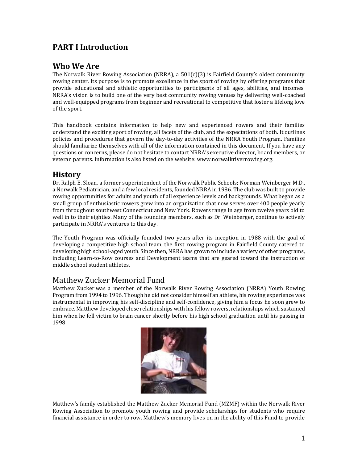# **PART I Introduction**

# **Who We Are**

The Norwalk River Rowing Association (NRRA), a 501(c)(3) is Fairfield County's oldest community rowing center. Its purpose is to promote excellence in the sport of rowing by offering programs that provide educational and athletic opportunities to participants of all ages, abilities, and incomes. NRRA's vision is to build one of the very best community rowing venues by delivering well-coached and well-equipped programs from beginner and recreational to competitive that foster a lifelong love of the sport.

This handbook contains information to help new and experienced rowers and their families understand the exciting sport of rowing, all facets of the club, and the expectations of both. It outlines policies and procedures that govern the day-to-day activities of the NRRA Youth Program. Families should familiarize themselves with all of the information contained in this document. If you have any questions or concerns, please do not hesitate to contact NRRA's executive director, board members, or veteran parents. Information is also listed on the website: www.norwalkriverrowing.org.

# **History**

Dr. Ralph E. Sloan, a former superintendent of the Norwalk Public Schools; Norman Weinberger M.D., a Norwalk Pediatrician, and a few local residents, founded NRRA in 1986. The club was built to provide rowing opportunities for adults and youth of all experience levels and backgrounds. What began as a small group of enthusiastic rowers grew into an organization that now serves over 400 people yearly from throughout southwest Connecticut and New York. Rowers range in age from twelve years old to well in to their eighties. Many of the founding members, such as Dr. Weinberger, continue to actively participate in NRRA's ventures to this day.

The Youth Program was officially founded two years after its inception in 1988 with the goal of developing a competitive high school team, the first rowing program in Fairfield County catered to developing high school-aged youth. Since then, NRRA has grown to include a variety of other programs, including Learn-to-Row courses and Development teams that are geared toward the instruction of middle school student athletes.

# Matthew Zucker Memorial Fund

Matthew Zucker was a member of the Norwalk River Rowing Association (NRRA) Youth Rowing Program from 1994 to 1996. Though he did not consider himself an athlete, his rowing experience was instrumental in improving his self-discipline and self-confidence, giving him a focus he soon grew to embrace. Matthew developed close relationships with his fellow rowers, relationships which sustained him when he fell victim to brain cancer shortly before his high school graduation until his passing in 1998.



Matthew's family established the Matthew Zucker Memorial Fund (MZMF) within the Norwalk River Rowing Association to promote youth rowing and provide scholarships for students who require financial assistance in order to row. Matthew's memory lives on in the ability of this Fund to provide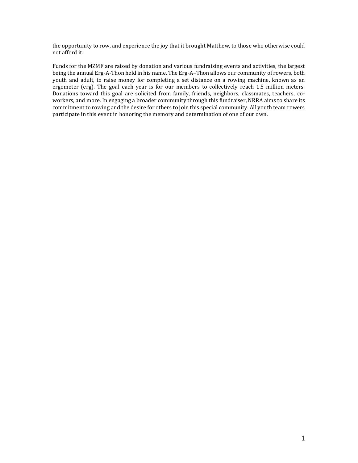the opportunity to row, and experience the joy that it brought Matthew, to those who otherwise could not afford it.

Funds for the MZMF are raised by donation and various fundraising events and activities, the largest being the annual Erg-A-Thon held in his name. The Erg-A–Thon allows our community of rowers, both youth and adult, to raise money for completing a set distance on a rowing machine, known as an ergometer (erg). The goal each year is for our members to collectively reach 1.5 million meters. Donations toward this goal are solicited from family, friends, neighbors, classmates, teachers, coworkers, and more. In engaging a broader community through this fundraiser, NRRA aims to share its commitment to rowing and the desire for others to join this special community. All youth team rowers participate in this event in honoring the memory and determination of one of our own.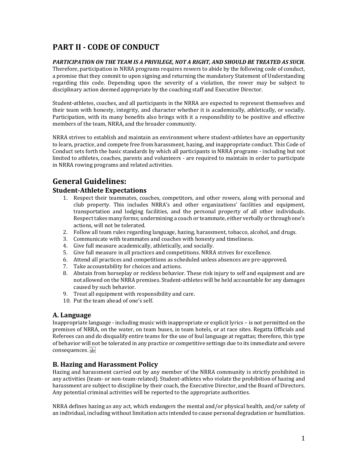# **PART II - CODE OF CONDUCT**

#### *PARTICIPATION ON THE TEAM IS A PRIVILEGE, NOT A RIGHT, AND SHOULD BE TREATED AS SUCH.*

Therefore, participation in NRRA programs requires rowers to abide by the following code of conduct, a promise that they commit to upon signing and returning the mandatory Statement of Understanding regarding this code. Depending upon the severity of a violation, the rower may be subject to disciplinary action deemed appropriate by the coaching staff and Executive Director.

Student-athletes, coaches, and all participants in the NRRA are expected to represent themselves and their team with honesty, integrity, and character whether it is academically, athletically, or socially. Participation, with its many benefits also brings with it a responsibility to be positive and effective members of the team, NRRA, and the broader community.

NRRA strives to establish and maintain an environment where student-athletes have an opportunity to learn, practice, and compete free from harassment, hazing, and inappropriate conduct. This Code of Conduct sets forth the basic standards by which all participants in NRRA programs - including but not limited to athletes, coaches, parents and volunteers - are required to maintain in order to participate in NRRA rowing programs and related activities.

# **General Guidelines:**

### **Student-Athlete Expectations**

- 1. Respect their teammates, coaches, competitors, and other rowers, along with personal and club property. This includes NRRA's and other organizations' facilities and equipment, transportation and lodging facilities, and the personal property of all other individuals. Respect takes many forms; undermining a coach or teammate, either verbally or through one's actions, will not be tolerated.
- 2. Follow all team rules regarding language, hazing, harassment, tobacco, alcohol, and drugs.
- 3. Communicate with teammates and coaches with honesty and timeliness.
- 4. Give full measure academically, athletically, and socially.
- 5. Give full measure in all practices and competitions. NRRA strives for excellence.
- 6. Attend all practices and competitions as scheduled unless absences are pre-approved.
- 7. Take accountability for choices and actions.
- 8. Abstain from horseplay or reckless behavior. These risk injury to self and equipment and are not allowed on the NRRA premises. Student-athletes will be held accountable for any damages caused by such behavior.
- 9. Treat all equipment with responsibility and care.
- 10. Put the team ahead of one's self.

### **A. Language**

Inappropriate language - including music with inappropriate or explicit lyrics – is not permitted on the premises of NRRA, on the water, on team buses, in team hotels, or at race sites. Regatta Officials and Referees can and do disqualify entire teams for the use of foul language at regattas; therefore, this type of behavior will not be tolerated in any practice or competitive settings due to its immediate and severe consequences.

# **B. Hazing and Harassment Policy**

Hazing and harassment carried out by any member of the NRRA community is strictly prohibited in any activities (team- or non-team-related). Student-athletes who violate the prohibition of hazing and harassment are subject to discipline by their coach, the Executive Director, and the Board of Directors. Any potential criminal activities will be reported to the appropriate authorities.

NRRA defines hazing as any act, which endangers the mental and/or physical health, and/or safety of an individual, including without limitation acts intended to cause personal degradation or humiliation.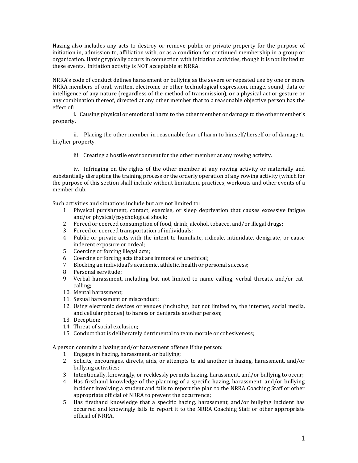Hazing also includes any acts to destroy or remove public or private property for the purpose of initiation in, admission to, affiliation with, or as a condition for continued membership in a group or organization. Hazing typically occurs in connection with initiation activities, though it is not limited to these events. Initiation activity is NOT acceptable at NRRA.

NRRA's code of conduct defines harassment or bullying as the severe or repeated use by one or more NRRA members of oral, written, electronic or other technological expression, image, sound, data or intelligence of any nature (regardless of the method of transmission), or a physical act or gesture or any combination thereof, directed at any other member that to a reasonable objective person has the effect of:

i. Causing physical or emotional harm to the other member or damage to the other member's property.

ii. Placing the other member in reasonable fear of harm to himself/herself or of damage to his/her property.

iii. Creating a hostile environment for the other member at any rowing activity.

iv. Infringing on the rights of the other member at any rowing activity or materially and substantially disrupting the training process or the orderly operation of any rowing activity (which for the purpose of this section shall include without limitation, practices, workouts and other events of a member club.

Such activities and situations include but are not limited to:

- 1. Physical punishment, contact, exercise, or sleep deprivation that causes excessive fatigue and/or physical/psychological shock;
- 2. Forced or coerced consumption of food, drink, alcohol, tobacco, and/or illegal drugs;
- 3. Forced or coerced transportation of individuals;
- 4. Public or private acts with the intent to humiliate, ridicule, intimidate, denigrate, or cause indecent exposure or ordeal;
- 5. Coercing or forcing illegal acts;
- 6. Coercing or forcing acts that are immoral or unethical;
- 7. Blocking an individual's academic, athletic, health or personal success;
- 8. Personal servitude;
- 9. Verbal harassment, including but not limited to name-calling, verbal threats, and/or catcalling;
- 10. Mental harassment;
- 11. Sexual harassment or misconduct;
- 12. Using electronic devices or venues (including, but not limited to, the internet, social media, and cellular phones) to harass or denigrate another person;
- 13. Deception;
- 14. Threat of social exclusion;
- 15. Conduct that is deliberately detrimental to team morale or cohesiveness;

A person commits a hazing and/or harassment offense if the person:

- 1. Engages in hazing, harassment, or bullying;
- 2. Solicits, encourages, directs, aids, or attempts to aid another in hazing, harassment, and/or bullying activities;
- 3. Intentionally, knowingly, or recklessly permits hazing, harassment, and/or bullying to occur;
- 4. Has firsthand knowledge of the planning of a specific hazing, harassment, and/or bullying incident involving a student and fails to report the plan to the NRRA Coaching Staff or other appropriate official of NRRA to prevent the occurrence;
- 5. Has firsthand knowledge that a specific hazing, harassment, and/or bullying incident has occurred and knowingly fails to report it to the NRRA Coaching Staff or other appropriate official of NRRA.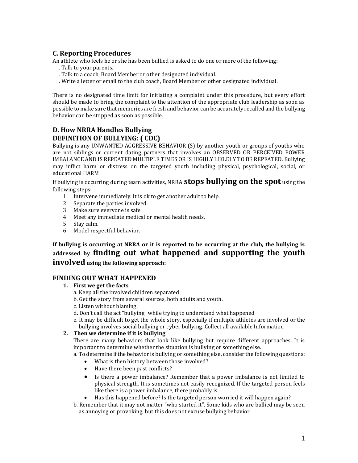# **C. Reporting Procedures**

An athlete who feels he or she has been bullied is asked to do one or more of the following:

- . Talk to your parents.
- . Talk to a coach, Board Member or other designated individual.
- . Write a letter or email to the club coach, Board Member or other designated individual.

There is no designated time limit for initiating a complaint under this procedure, but every effort should be made to bring the complaint to the attention of the appropriate club leadership as soon as possible to make sure that memories are fresh and behavior can be accurately recalled and the bullying behavior can be stopped as soon as possible.

# **D. How NRRA Handles Bullying DEFINITION OF BULLYING: ( CDC)**

Bullying is any UNWANTED AGGRESSIVE BEHAVIOR (S) by another youth or groups of youths who are not siblings or current dating partners that involves an OBSERVED OR PERCEIVED POWER IMBALANCE AND IS REPEATED MULTIPLE TIMES OR IS HIGHLY LIKLELY TO BE REPEATED. Bullying may inflict harm or distress on the targeted youth including physical, psychological, social, or educational HARM

If bullying is occurring during team activities, NRRA **stops bullying on the spot** using the following steps:

- 1. Intervene immediately. It is ok to get another adult to help.
- 2. Separate the parties involved.
- 3. Make sure everyone is safe.
- 4. Meet any immediate medical or mental health needs.
- 5. Stay calm.
- 6. Model respectful behavior.

**If bullying is occurring at NRRA or it is reported to be occurring at the club, the bullying is addressed by finding out what happened and supporting the youth involved using the following approach:**

### **FINDING OUT WHAT HAPPENED**

- **1. First we get the facts**
	- a. Keep all the involved children separated
	- b. Get the story from several sources, both adults and youth.
	- c. Listen without blaming
	- d. Don't call the act "bullying" while trying to understand what happened
	- e. It may be difficult to get the whole story, especially if multiple athletes are involved or the bullying involves social bullying or cyber bullying. Collect all available Information

#### **2. Then we determine if it is bullying**

There are many behaviors that look like bullying but require different approaches. It is important to determine whether the situation is bullying or something else.

- a. To determine if the behavior is bullying or something else, consider the following questions:
	- What is then history between those involved?
	- Have there been past conflicts?
	- Is there a power imbalance? Remember that a power imbalance is not limited to physical strength. It is sometimes not easily recognized. If the targeted person feels like there is a power imbalance, there probably is.
	- Has this happened before? Is the targeted person worried it will happen again?
- b. Remember that it may not matter "who started it". Some kids who are bullied may be seen as annoying or provoking, but this does not excuse bullying behavior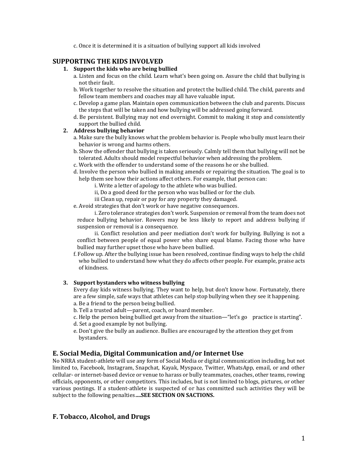c. Once it is determined it is a situation of bullying support all kids involved

### **SUPPORTING THE KIDS INVOLVED**

#### **1. Support the kids who are being bullied**

- a. Listen and focus on the child. Learn what's been going on. Assure the child that bullying is not their fault.
- b. Work together to resolve the situation and protect the bullied child. The child, parents and fellow team members and coaches may all have valuable input.
- c. Develop a game plan. Maintain open communication between the club and parents. Discuss the steps that will be taken and how bullying will be addressed going forward.
- d. Be persistent. Bullying may not end overnight. Commit to making it stop and consistently support the bullied child.

#### **2. Address bullying behavior**

- a. Make sure the bully knows what the problem behavior is. People who bully must learn their behavior is wrong and harms others.
- b. Show the offender that bullying is taken seriously. Calmly tell them that bullying will not be tolerated. Adults should model respectful behavior when addressing the problem.
- c. Work with the offender to understand some of the reasons he or she bullied.
- d. Involve the person who bullied in making amends or repairing the situation. The goal is to help them see how their actions affect others. For example, that person can:
	- i. Write a letter of apology to the athlete who was bullied.
	- ii, Do a good deed for the person who was bullied or for the club.
	- iii Clean up, repair or pay for any property they damaged.
- e. Avoid strategies that don't work or have negative consequences.

i. Zero tolerance strategies don't work. Suspension or removal from the team does not reduce bullying behavior. Rowers may be less likely to report and address bullying if suspension or removal is a consequence.

ii. Conflict resolution and peer mediation don't work for bullying. Bullying is not a conflict between people of equal power who share equal blame. Facing those who have bullied may further upset those who have been bullied.

f. Follow up. After the bullying issue has been resolved, continue finding ways to help the child who bullied to understand how what they do affects other people. For example, praise acts of kindness.

#### **3. Support bystanders who witness bullying**

Every day kids witness bullying. They want to help, but don't know how. Fortunately, there are a few simple, safe ways that athletes can help stop bullying when they see it happening. a. Be a friend to the person being bullied.

- b. Tell a trusted adult—parent, coach, or board member.
- c. Help the person being bullied get away from the situation—"let's go practice is starting".
- d. Set a good example by not bullying.
- e. Don't give the bully an audience. Bullies are encouraged by the attention they get from bystanders.

#### **E. Social Media, Digital Communication and/or Internet Use**

No NRRA student-athlete will use any form of Social Media or digital communication including, but not limited to, Facebook, Instagram, Snapchat, Kayak, Myspace, Twitter, WhatsApp, email, or and other cellular- or internet-based device or venue to harass or bully teammates, coaches, other teams, rowing officials, opponents, or other competitors. This includes, but is not limited to blogs, pictures, or other various postings. If a student-athlete is suspected of or has committed such activities they will be subject to the following penalties**….SEE SECTION ON SACTIONS.**

### **F. Tobacco, Alcohol, and Drugs**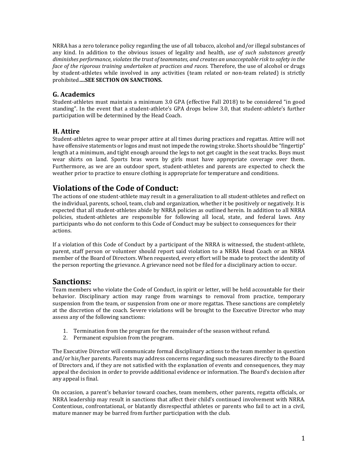NRRA has a zero tolerance policy regarding the use of all tobacco, alcohol and/or illegal substances of any kind. In addition to the obvious issues of legality and health, *use of such substances greatly diminishes performance, violates the trust of teammates, and creates an unacceptable risk to safety in the face of the rigorous training undertaken at practices and races.* Therefore, the use of alcohol or drugs by student-athletes while involved in any activities (team related or non-team related) is strictly prohibited**….SEE SECTION ON SANCTIONS.**

# **G. Academics**

Student-athletes must maintain a minimum 3.0 GPA (effective Fall 2018) to be considered "in good standing". In the event that a student-athlete's GPA drops below 3.0, that student-athlete's further participation will be determined by the Head Coach.

# **H. Attire**

Student-athletes agree to wear proper attire at all times during practices and regattas. Attire will not have offensive statements or logos and must not impede the rowing stroke. Shorts should be "fingertip" length at a minimum, and tight enough around the legs to not get caught in the seat tracks. Boys must wear shirts on land. Sports bras worn by girls must have appropriate coverage over them. Furthermore, as we are an outdoor sport, student-athletes and parents are expected to check the weather prior to practice to ensure clothing is appropriate for temperature and conditions.

# **Violations of the Code of Conduct:**

The actions of one student-athlete may result in a generalization to all student-athletes and reflect on the individual, parents, school, team, club and organization, whether it be positively or negatively. It is expected that all student-athletes abide by NRRA policies as outlined herein. In addition to all NRRA policies, student-athletes are responsible for following all local, state, and federal laws. Any participants who do not conform to this Code of Conduct may be subject to consequences for their actions.

If a violation of this Code of Conduct by a participant of the NRRA is witnessed, the student-athlete, parent, staff person or volunteer should report said violation to a NRRA Head Coach or an NRRA member of the Board of Directors. When requested, every effort will be made to protect the identity of the person reporting the grievance. A grievance need not be filed for a disciplinary action to occur.

# **Sanctions:**

Team members who violate the Code of Conduct, in spirit or letter, will be held accountable for their behavior. Disciplinary action may range from warnings to removal from practice, temporary suspension from the team, or suspension from one or more regattas. These sanctions are completely at the discretion of the coach. Severe violations will be brought to the Executive Director who may assess any of the following sanctions:

- 1. Termination from the program for the remainder of the season without refund.
- 2. Permanent expulsion from the program.

The Executive Director will communicate formal disciplinary actions to the team member in question and/or his/her parents. Parents may address concerns regarding such measures directly to the Board of Directors and, if they are not satisfied with the explanation of events and consequences, they may appeal the decision in order to provide additional evidence or information. The Board's decision after any appeal is final.

On occasion, a parent's behavior toward coaches, team members, other parents, regatta officials, or NRRA leadership may result in sanctions that affect their child's continued involvement with NRRA. Contentious, confrontational, or blatantly disrespectful athletes or parents who fail to act in a civil, mature manner may be barred from further participation with the club.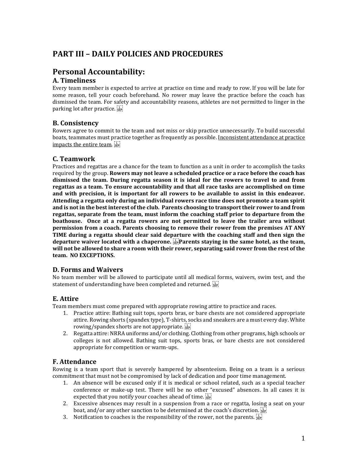# **PART III – DAILY POLICIES AND PROCEDURES**

# **Personal Accountability:**

# **A. Timeliness**

Every team member is expected to arrive at practice on time and ready to row. If you will be late for some reason, tell your coach beforehand. No rower may leave the practice before the coach has dismissed the team. For safety and accountability reasons, athletes are not permitted to linger in the parking lot after practice.

# **B. Consistency**

Rowers agree to commit to the team and not miss or skip practice unnecessarily. To build successful boats, teammates must practice together as frequently as possible. Inconsistent attendance at practice impacts the entire team.

# **C. Teamwork**

Practices and regattas are a chance for the team to function as a unit in order to accomplish the tasks required by the group. **Rowers may not leave a scheduled practice or a race before the coach has dismissed the team. During regatta season it is ideal for the rowers to travel to and from regattas as a team. To ensure accountability and that all race tasks are accomplished on time and with precision, it is important for all rowers to be available to assist in this endeavor. Attending a regatta only during an individual rowers race time does not promote a team spirit and is not in the best interest of the club. Parents choosing to transport their rower to and from regattas, separate from the team, must inform the coaching staff prior to departure from the boathouse. Once at a regatta rowers are not permitted to leave the trailer area without permission from a coach. Parents choosing to remove their rower from the premises AT ANY TIME during a regatta should clear said departure with the coaching staff and then sign the departure waiver located with a chaperone. Parents staying in the same hotel, as the team, will not be allowed to share a room with their rower, separating said rower from the rest of the team. NO EXCEPTIONS.**

### **D. Forms and Waivers**

No team member will be allowed to participate until all medical forms, waivers, swim test, and the statement of understanding have been completed and returned.

# **E. Attire**

Team members must come prepared with appropriate rowing attire to practice and races.

- 1. Practice attire: Bathing suit tops, sports bras, or bare chests are not considered appropriate attire. Rowing shorts (spandex type), T-shirts, socks and sneakers are a must every day. White rowing/spandex shorts are not appropriate.
- 2. Regatta attire: NRRA uniforms and/or clothing. Clothing from other programs, high schools or colleges is not allowed. Bathing suit tops, sports bras, or bare chests are not considered appropriate for competition or warm-ups.

# **F. Attendance**

Rowing is a team sport that is severely hampered by absenteeism. Being on a team is a serious commitment that must not be compromised by lack of dedication and poor time management.

- 1. An absence will be excused only if it is medical or school related, such as a special teacher conference or make-up test. There will be no other "excused" absences. In all cases it is expected that you notify your coaches ahead of time.
- 2. Excessive absences may result in a suspension from a race or regatta, losing a seat on your boat, and/or any other sanction to be determined at the coach's discretion.  $\frac{17}{356}$
- 3. Notification to coaches is the responsibility of the rower, not the parents.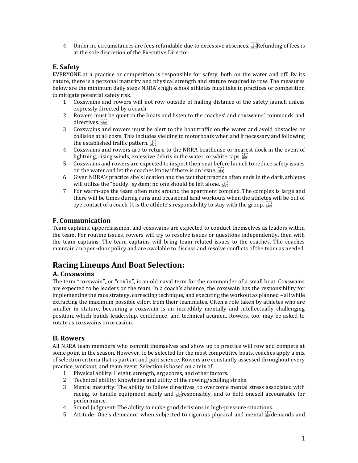4. Under no circumstances are fees refundable due to excessive absences. Refunding of fees is at the sole discretion of the Executive Director.

# **E. Safety**

EVERYONE at a practice or competition is responsible for safety, both on the water and off. By its nature, there is a personal maturity and physical strength and stature required to row. The measures below are the minimum daily steps NRRA's high school athletes must take in practices or competition to mitigate potential safety risk.

- 1. Coxswains and rowers will not row outside of hailing distance of the safety launch unless expressly directed by a coach.
- 2. Rowers must be quiet in the boats and listen to the coaches' and coxswains' commands and directives.
- 3. Coxswains and rowers must be alert to the boat traffic on the water and avoid obstacles or collision at all costs. This includes yielding to motorboats when and if necessary and following the established traffic pattern.
- 4. Coxswains and rowers are to return to the NRRA boathouse or nearest dock in the event of lightning, rising winds, excessive debris in the water, or white caps.  $\sum_{i=1}^{n}$
- 5. Coxswains and rowers are expected to inspect their seat before launch to reduce safety issues on the water and let the coaches know if there is an issue.
- 6. Given NRRA's practice site's location and the fact that practice often ends in the dark, athletes will utilize the "buddy" system: no one should be left alone.
- 7. For warm-ups the team often runs around the apartment complex. The complex is large and there will be times during runs and occasional land workouts when the athletes will be out of eye contact of a coach. It is the athlete's responsibility to stay with the group.  $\frac{1}{15}$

# **F. Communication**

Team captains, upperclassmen, and coxswains are expected to conduct themselves as leaders within the team. For routine issues, rowers will try to resolve issues or questions independently, then with the team captains. The team captains will bring team related issues to the coaches. The coaches maintain an open-door policy and are available to discuss and resolve conflicts of the team as needed.

# **Racing Lineups And Boat Selection:**

# **A. Coxswains**

The term "coxswain", or "cox'in", is an old naval term for the commander of a small boat. Coxswains are expected to be leaders on the team. In a coach's absence, the coxswain has the responsibility for implementing the race strategy, correcting technique, and executing the workout as planned – all while extracting the maximum possible effort from their teammates. Often a role taken by athletes who are smaller in stature, becoming a coxswain is an incredibly mentally and intellectually challenging position, which builds leadership, confidence, and technical acumen. Rowers, too, may be asked to rotate as coxswains on occasion.

### **B. Rowers**

All NRRA team members who commit themselves and show up to practice will row and compete at some point in the season. However, to be selected for the most competitive boats, coaches apply a mix of selection criteria that is part art and part science. Rowers are constantly assessed throughout every practice, workout, and team event. Selection is based on a mix of:

- 1. Physical ability: Height, strength, erg scores, and other factors.
- 2. Technical ability: Knowledge and utility of the rowing/sculling stroke.
- 3. Mental maturity: The ability to follow directives, to overcome mental stress associated with racing, to handle equipment safely and  $\frac{1}{2}$  responsibly, and to hold oneself accountable for performance.
- 4. Sound Judgment: The ability to make good decisions in high-pressure situations.
- 5. Attitude: One's demeanor when subjected to rigorous physical and mental  $\frac{1}{25}$  demands and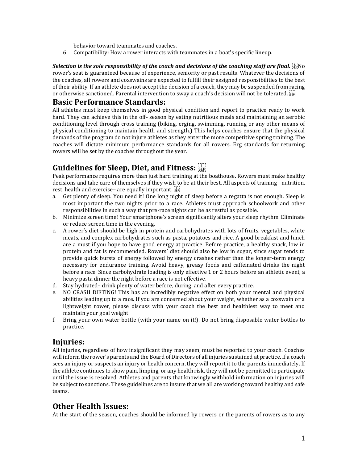behavior toward teammates and coaches.

6. Compatibility: How a rower interacts with teammates in a boat's specific lineup.

Selection is the sole responsibility of the coach and decisions of the coaching staff are final. **See**No rower's seat is guaranteed because of experience, seniority or past results. Whatever the decisions of the coaches, all rowers and coxswains are expected to fulfill their assigned responsibilities to the best of their ability. If an athlete does not accept the decision of a coach, they may be suspended from racing or otherwise sanctioned. Parental intervention to sway a coach's decision will not be tolerated.  $\overline{\mathbb{E}[\cdot]}$ 

# **Basic Performance Standards:**

All athletes must keep themselves in good physical condition and report to practice ready to work hard. They can achieve this in the off- season by eating nutritious meals and maintaining an aerobic conditioning level through cross training (biking, erging, swimming, running or any other means of physical conditioning to maintain health and strength.) This helps coaches ensure that the physical demands of the program do not injure athletes as they enter the more competitive spring training. The coaches will dictate minimum performance standards for all rowers. Erg standards for returning rowers will be set by the coaches throughout the year.

# **Guidelines for Sleep, Diet, and Fitness:**

Peak performance requires more than just hard training at the boathouse. Rowers must make healthy decisions and take care of themselves if they wish to be at their best. All aspects of training –nutrition, rest, health and exercise– are equally important.

- a. Get plenty of sleep. You need it! One long night of sleep before a regatta is not enough. Sleep is most important the two nights prior to a race. Athletes must approach schoolwork and other responsibilities in such a way that pre-race nights can be as restful as possible.
- b. Minimize screen time! Your smartphone's screen significantly alters your sleep rhythm. Eliminate or reduce screen time in the evening.
- c. A rower's diet should be high in protein and carbohydrates with lots of fruits, vegetables, white meats, and complex carbohydrates such as pasta, potatoes and rice. A good breakfast and lunch are a must if you hope to have good energy at practice. Before practice, a healthy snack, low in protein and fat is recommended. Rowers' diet should also be low in sugar, since sugar tends to provide quick bursts of energy followed by energy crashes rather than the longer-term energy necessary for endurance training. Avoid heavy, greasy foods and caffeinated drinks the night before a race. Since carbohydrate loading is only effective 1 or 2 hours before an athletic event, a heavy pasta dinner the night before a race is not effective.
- d. Stay hydrated– drink plenty of water before, during, and after every practice.
- e. NO CRASH DIETING! This has an incredibly negative effect on both your mental and physical abilities leading up to a race. If you are concerned about your weight, whether as a coxswain or a lightweight rower, please discuss with your coach the best and healthiest way to meet and maintain your goal weight.
- f. Bring your own water bottle (with your name on it!). Do not bring disposable water bottles to practice.

# **Injuries:**

All injuries, regardless of how insignificant they may seem, must be reported to your coach. Coaches will inform the rower's parents and the Board of Directors of all injuries sustained at practice. If a coach sees an injury or suspects an injury or health concern, they will report it to the parents immediately. If the athlete continues to show pain, limping, or any health risk, they will not be permitted to participate until the issue is resolved. Athletes and parents that knowingly withhold information on injuries will be subject to sanctions. These guidelines are to insure that we all are working toward healthy and safe teams.

# **Other Health Issues:**

At the start of the season, coaches should be informed by rowers or the parents of rowers as to any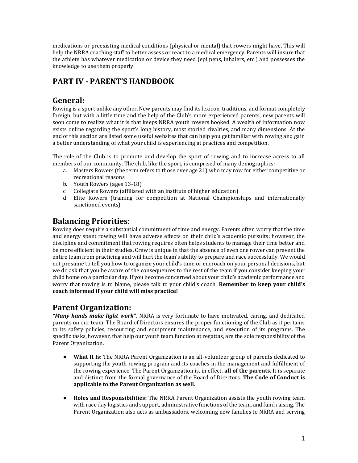medications or preexisting medical conditions (physical or mental) that rowers might have. This will help the NRRA coaching staff to better assess or react to a medical emergency. Parents will insure that the athlete has whatever medication or device they need (epi pens, inhalers, etc.) and possesses the knowledge to use them properly.

# **PART IV - PARENT'S HANDBOOK**

# **General:**

Rowing is a sport unlike any other. New parents may find its lexicon, traditions, and format completely foreign, but with a little time and the help of the Club's more experienced parents, new parents will soon come to realize what it is that keeps NRRA youth rowers hooked. A wealth of information now exists online regarding the sport's long history, most storied rivalries, and many dimensions. At the end of this section are listed some useful websites that can help you get familiar with rowing and gain a better understanding of what your child is experiencing at practices and competition.

The role of the Club is to promote and develop the sport of rowing and to increase access to all members of our community. The club, like the sport, is comprised of many demographics:

- a. Masters Rowers (the term refers to those over age 21) who may row for either competitive or recreational reasons
- b. Youth Rowers (ages 13-18)
- c. Collegiate Rowers (affiliated with an institute of higher education)
- d. Elite Rowers (training for competition at National Championships and internationally sanctioned events)

# **Balancing Priorities**:

Rowing does require a substantial commitment of time and energy. Parents often worry that the time and energy spent rowing will have adverse effects on their child's academic pursuits; however, the discipline and commitment that rowing requires often helps students to manage their time better and be more efficient in their studies. Crew is unique in that the absence of even one rower can prevent the entire team from practicing and will hurt the team's ability to prepare and race successfully. We would not presume to tell you how to organize your child's time or encroach on your personal decisions, but we do ask that you be aware of the consequences to the rest of the team if you consider keeping your child home on a particular day. If you become concerned about your child's academic performance and worry that rowing is to blame, please talk to your child's coach. **Remember to keep your child's coach informed if your child will miss practice!**

# **Parent Organization:**

*"Many hands make light work".* NRRA is very fortunate to have motivated, caring, and dedicated parents on our team. The Board of Directors ensures the proper functioning of the Club as it pertains to its safety policies, resourcing and equipment maintenance, and execution of its programs. The specific tasks, however, that help our youth team function at regattas, are the sole responsibility of the Parent Organization.

- **What It Is:** The NRRA Parent Organization is an all-volunteer group of parents dedicated to supporting the youth rowing program and its coaches in the management and fulfillment of the rowing experience. The Parent Organization is, in effect, **all of the parents.** It is separate and distinct from the formal governance of the Board of Directors. **The Code of Conduct is applicable to the Parent Organization as well.**
- **Roles and Responsibilities:** The NRRA Parent Organization assists the youth rowing team with race day logistics and support, administrative functions of the team, and fund raising. The Parent Organization also acts as ambassadors, welcoming new families to NRRA and serving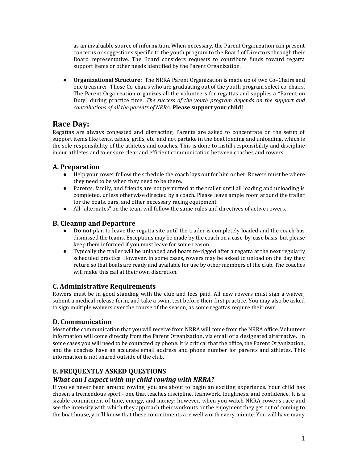as an invaluable source of information. When necessary, the Parent Organization can present concerns or suggestions specific to the youth program to the Board of Directors through their Board representative. The Board considers requests to contribute funds toward regatta support items or other needs identified by the Parent Organization.

● **Organizational Structure:** The NRRA Parent Organization is made up of two Co–Chairs and one treasurer. Those Co-chairs who are graduating out of the youth program select co-chairs. The Parent Organization organizes all the volunteers for regattas and supplies a "Parent on Duty" during practice time. *The success of the youth program depends on the support and contributions of all the parents of NRRA.* **Please support your child!**

# **Race Day:**

Regattas are always congested and distracting. Parents are asked to concentrate on the setup of support items like tents, tables, grills, etc. and not partake in the boat loading and unloading, which is the sole responsibility of the athletes and coaches. This is done to instill responsibility and discipline in our athletes and to ensure clear and efficient communication between coaches and rowers.

# **A. Preparation**

- Help your rower follow the schedule the coach lays out for him or her. Rowers must be where they need to be when they need to be there.
- Parents, family, and friends are not permitted at the trailer until all loading and unloading is completed, unless otherwise directed by a coach. Please leave ample room around the trailer for the boats, oars, and other necessary racing equipment.
- All "alternates" on the team will follow the same rules and directives of active rowers.

# **B. Cleanup and Departure**

- **Do not** plan to leave the regatta site until the trailer is completely loaded and the coach has dismissed the teams. Exceptions may be made by the coach on a case-by-case basis, but please keep them informed if you must leave for some reason.
- Typically the trailer will be unloaded and boats re-rigged after a regatta at the next regularly scheduled practice. However, in some cases, rowers may be asked to unload on the day they return so that boats are ready and available for use by other members of the club. The coaches will make this call at their own discretion.

# **C. Administrative Requirements**

Rowers must be in good standing with the club and fees paid. All new rowers must sign a waiver, submit a medical release form, and take a swim test before their first practice. You may also be asked to sign multiple waivers over the course of the season, as some regattas require their own

# **D. Communication**

Most of the communication that you will receive from NRRA will come from the NRRA office. Volunteer information will come directly from the Parent Organization, via email or a designated alternative. In some cases you will need to be contacted by phone. It is critical that the office, the Parent Organization, and the coaches have an accurate email address and phone number for parents and athletes. This information is not shared outside of the club.

# **E. FREQUENTLY ASKED QUESTIONS**

# *What can I expect with my child rowing with NRRA?*

If you've never been around rowing, you are about to begin an exciting experience. Your child has chosen a tremendous sport - one that teaches discipline, teamwork, toughness, and confidence. It is a sizable commitment of time, energy, and money; however, when you watch NRRA rower's race and see the intensity with which they approach their workouts or the enjoyment they get out of coming to the boat house, you'll know that these commitments are well worth every minute. You will have many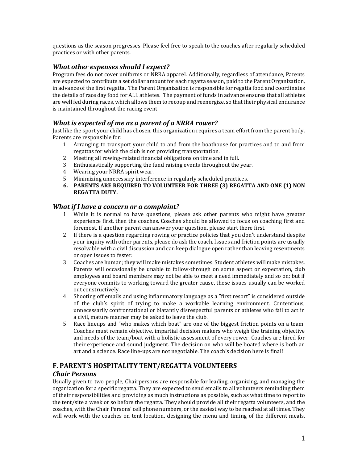questions as the season progresses. Please feel free to speak to the coaches after regularly scheduled practices or with other parents.

### *What other expenses should I expect?*

Program fees do not cover uniforms or NRRA apparel. Additionally, regardless of attendance, Parents are expected to contribute a set dollar amount for each regatta season, paid to the Parent Organization, in advance of the first regatta. The Parent Organization is responsible for regatta food and coordinates the details of race day food for ALL athletes. The payment of funds in advance ensures that all athletes are well fed during races, which allows them to recoup and reenergize, so that their physical endurance is maintained throughout the racing event.

### *What is expected of me as a parent of a NRRA rower?*

Just like the sport your child has chosen, this organization requires a team effort from the parent body. Parents are responsible for:

- 1. Arranging to transport your child to and from the boathouse for practices and to and from regattas for which the club is not providing transportation.
- 2. Meeting all rowing-related financial obligations on time and in full.
- 3. Enthusiastically supporting the fund raising events throughout the year.
- 4. Wearing your NRRA spirit wear.
- 5. Minimizing unnecessary interference in regularly scheduled practices.
- **6. PARENTS ARE REQUIRED TO VOLUNTEER FOR THREE (3) REGATTA AND ONE (1) NON REGATTA DUTY.**

#### *What if I have a concern or a complaint?*

- 1. While it is normal to have questions, please ask other parents who might have greater experience first, then the coaches. Coaches should be allowed to focus on coaching first and foremost. If another parent can answer your question, please start there first.
- 2. If there is a question regarding rowing or practice policies that you don't understand despite your inquiry with other parents, please do ask the coach. Issues and friction points are usually resolvable with a civil discussion and can keep dialogue open rather than leaving resentments or open issues to fester.
- 3. Coaches are human; they will make mistakes sometimes. Student athletes will make mistakes. Parents will occasionally be unable to follow-through on some aspect or expectation, club employees and board members may not be able to meet a need immediately and so on; but if everyone commits to working toward the greater cause, these issues usually can be worked out constructively.
- 4. Shooting off emails and using inflammatory language as a "first resort" is considered outside of the club's spirit of trying to make a workable learning environment. Contentious, unnecessarily confrontational or blatantly disrespectful parents or athletes who fail to act in a civil, mature manner may be asked to leave the club.
- 5. Race lineups and "who makes which boat" are one of the biggest friction points on a team. Coaches must remain objective, impartial decision makers who weigh the training objective and needs of the team/boat with a holistic assessment of every rower. Coaches are hired for their experience and sound judgment. The decision on who will be boated where is both an art and a science. Race line-ups are not negotiable. The coach's decision here is final!

# **F. PARENT'S HOSPITALITY TENT/REGATTA VOLUNTEERS**

#### *Chair Persons*

Usually given to two people, Chairpersons are responsible for leading, organizing, and managing the organization for a specific regatta. They are expected to send emails to all volunteers reminding them of their responsibilities and providing as much instructions as possible, such as what time to report to the tent/site a week or so before the regatta. They should provide all their regatta volunteers, and the coaches, with the Chair Persons' cell phone numbers, or the easiest way to be reached at all times. They will work with the coaches on tent location, designing the menu and timing of the different meals,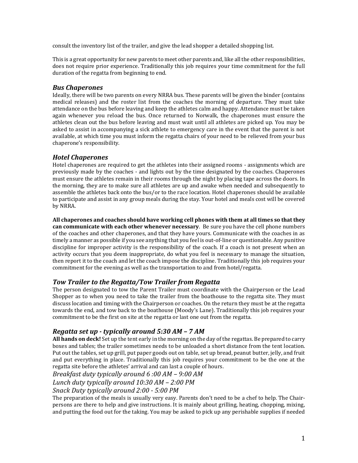consult the inventory list of the trailer, and give the lead shopper a detailed shopping list.

This is a great opportunity for new parents to meet other parents and, like all the other responsibilities, does not require prior experience. Traditionally this job requires your time commitment for the full duration of the regatta from beginning to end.

### *Bus Chaperones*

Ideally, there will be two parents on every NRRA bus. These parents will be given the binder (contains medical releases) and the roster list from the coaches the morning of departure. They must take attendance on the bus before leaving and keep the athletes calm and happy. Attendance must be taken again whenever you reload the bus. Once returned to Norwalk, the chaperones must ensure the athletes clean out the bus before leaving and must wait until all athletes are picked up. You may be asked to assist in accompanying a sick athlete to emergency care in the event that the parent is not available, at which time you must inform the regatta chairs of your need to be relieved from your bus chaperone's responsibility.

# *Hotel Chaperones*

Hotel chaperones are required to get the athletes into their assigned rooms - assignments which are previously made by the coaches - and lights out by the time designated by the coaches. Chaperones must ensure the athletes remain in their rooms through the night by placing tape across the doors. In the morning, they are to make sure all athletes are up and awake when needed and subsequently to assemble the athletes back onto the bus/or to the race location. Hotel chaperones should be available to participate and assist in any group meals during the stay. Your hotel and meals cost will be covered by NRRA.

**All chaperones and coaches should have working cell phones with them at all times so that they can communicate with each other whenever necessary**. Be sure you have the cell phone numbers of the coaches and other chaperones, and that they have yours. Communicate with the coaches in as timely a manner as possible if you see anything that you feel is out-of-line or questionable. Any punitive discipline for improper activity is the responsibility of the coach. If a coach is not present when an activity occurs that you deem inappropriate, do what you feel is necessary to manage the situation, then report it to the coach and let the coach impose the discipline. Traditionally this job requires your commitment for the evening as well as the transportation to and from hotel/regatta.

### *Tow Trailer to the Regatta/Tow Trailer from Regatta*

The person designated to tow the Parent Trailer must coordinate with the Chairperson or the Lead Shopper as to when you need to take the trailer from the boathouse to the regatta site. They must discuss location and timing with the Chairperson or coaches. On the return they must be at the regatta towards the end, and tow back to the boathouse (Moody's Lane). Traditionally this job requires your commitment to be the first on site at the regatta or last one out from the regatta.

# *Regatta set up - typically around 5:30 AM – 7 AM*

**All hands on deck!** Set up the tent early in the morning on the day of the regattas. Be prepared to carry boxes and tables; the trailer sometimes needs to be unloaded a short distance from the tent location. Put out the tables, set up grill, put paper goods out on table, set up bread, peanut butter, jelly, and fruit and put everything in place. Traditionally this job requires your commitment to be the one at the regatta site before the athletes' arrival and can last a couple of hours.

*Breakfast duty typically around 6 :00 AM – 9:00 AM*

*Lunch duty typically around 10:30 AM – 2:00 PM*

*Snack Duty typically around 2:00 - 5:00 PM* 

The preparation of the meals is usually very easy. Parents don't need to be a chef to help. The Chairpersons are there to help and give instructions. It is mainly about grilling, heating, chopping, mixing, and putting the food out for the taking. You may be asked to pick up any perishable supplies if needed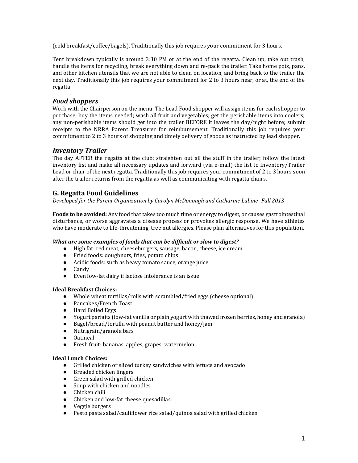(cold breakfast/coffee/bagels). Traditionally this job requires your commitment for 3 hours.

Tent breakdown typically is around 3:30 PM or at the end of the regatta. Clean up, take out trash, handle the items for recycling, break everything down and re-pack the trailer. Take home pots, pans, and other kitchen utensils that we are not able to clean on location, and bring back to the trailer the next day. Traditionally this job requires your commitment for 2 to 3 hours near, or at, the end of the regatta.

# *Food shoppers*

Work with the Chairperson on the menu. The Lead Food shopper will assign items for each shopper to purchase; buy the items needed; wash all fruit and vegetables; get the perishable items into coolers; any non-perishable items should get into the trailer BEFORE it leaves the day/night before; submit receipts to the NRRA Parent Treasurer for reimbursement. Traditionally this job requires your commitment to 2 to 3 hours of shopping and timely delivery of goods as instructed by lead shopper.

# *Inventory Trailer*

The day AFTER the regatta at the club: straighten out all the stuff in the trailer; follow the latest inventory list and make all necessary updates and forward (via e-mail) the list to Inventory/Trailer Lead or chair of the next regatta. Traditionally this job requires your commitment of 2 to 3 hours soon after the trailer returns from the regatta as well as communicating with regatta chairs.

# **G. Regatta Food Guidelines**

*Developed for the Parent Organization by Carolyn McDonough and Catharine Labine- Fall 2013*

**Foods to be avoided:** Any food that takes too much time or energy to digest, or causes gastrointestinal disturbance, or worse aggravates a disease process or provokes allergic response. We have athletes who have moderate to life-threatening, tree nut allergies. Please plan alternatives for this population.

#### *What are some examples of foods that can be difficult or slow to digest?*

- High fat: red meat, cheeseburgers, sausage, bacon, cheese, ice cream
- Fried foods: doughnuts, fries, potato chips
- Acidic foods: such as heavy tomato sauce, orange juice
- Candy
- Even low-fat dairy if lactose intolerance is an issue

#### **Ideal Breakfast Choices:**

- Whole wheat tortillas/rolls with scrambled/fried eggs (cheese optional)
- Pancakes/French Toast
- Hard Boiled Eggs
- Yogurt parfaits (low-fat vanilla or plain yogurt with thawed frozen berries, honey and granola)
- Bagel/bread/tortilla with peanut butter and honey/jam
- Nutrigrain/granola bars
- Oatmeal
- Fresh fruit: bananas, apples, grapes, watermelon

#### **Ideal Lunch Choices:**

- Grilled chicken or sliced turkey sandwiches with lettuce and avocado
- Breaded chicken fingers
- Green salad with grilled chicken
- Soup with chicken and noodles
- Chicken chili
- Chicken and low-fat cheese quesadillas
- Veggie burgers
- Pesto pasta salad/cauliflower rice salad/quinoa salad with grilled chicken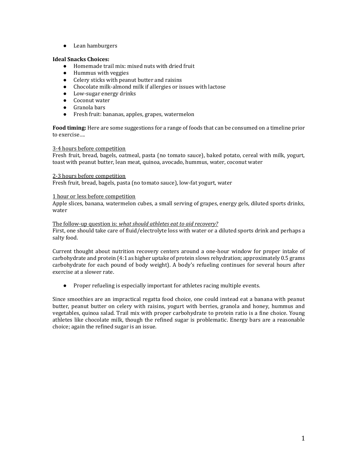● Lean hamburgers

#### **Ideal Snacks Choices:**

- Homemade trail mix: mixed nuts with dried fruit
- Hummus with veggies
- Celery sticks with peanut butter and raisins
- Chocolate milk-almond milk if allergies or issues with lactose
- Low-sugar energy drinks
- Coconut water
- Granola bars
- Fresh fruit: bananas, apples, grapes, watermelon

**Food timing:** Here are some suggestions for a range of foods that can be consumed on a timeline prior to exercise….

#### 3-4 hours before competition

Fresh fruit, bread, bagels, oatmeal, pasta (no tomato sauce), baked potato, cereal with milk, yogurt, toast with peanut butter, lean meat, quinoa, avocado, hummus, water, coconut water

#### 2-3 hours before competition

Fresh fruit, bread, bagels, pasta (no tomato sauce), low-fat yogurt, water

#### 1 hour or less before competition

Apple slices, banana, watermelon cubes, a small serving of grapes, energy gels, diluted sports drinks, water

#### The follow-up question is: *what should athletes eat to aid recovery?*

First, one should take care of fluid/electrolyte loss with water or a diluted sports drink and perhaps a salty food.

Current thought about nutrition recovery centers around a one-hour window for proper intake of carbohydrate and protein (4:1 as higher uptake of protein slows rehydration; approximately 0.5 grams carbohydrate for each pound of body weight). A body's refueling continues for several hours after exercise at a slower rate.

● Proper refueling is especially important for athletes racing multiple events.

Since smoothies are an impractical regatta food choice, one could instead eat a banana with peanut butter, peanut butter on celery with raisins, yogurt with berries, granola and honey, hummus and vegetables, quinoa salad. Trail mix with proper carbohydrate to protein ratio is a fine choice. Young athletes like chocolate milk, though the refined sugar is problematic. Energy bars are a reasonable choice; again the refined sugar is an issue.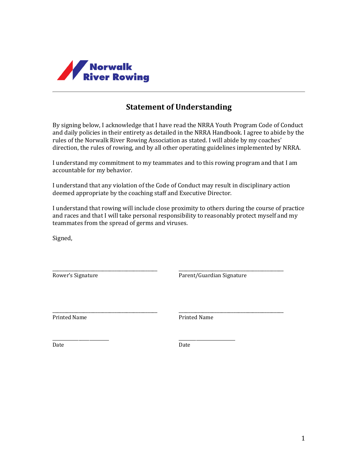

# **Statement of Understanding**

By signing below, I acknowledge that I have read the NRRA Youth Program Code of Conduct and daily policies in their entirety as detailed in the NRRA Handbook. I agree to abide by the rules of the Norwalk River Rowing Association as stated. I will abide by my coaches' direction, the rules of rowing, and by all other operating guidelines implemented by NRRA.

I understand my commitment to my teammates and to this rowing program and that I am accountable for my behavior.

I understand that any violation of the Code of Conduct may result in disciplinary action deemed appropriate by the coaching staff and Executive Director.

I understand that rowing will include close proximity to others during the course of practice and races and that I will take personal responsibility to reasonably protect myself and my teammates from the spread of germs and viruses.

Signed,

\_\_\_\_\_\_\_\_\_\_\_\_\_\_\_\_\_\_\_\_\_\_\_\_\_\_\_\_\_\_\_\_\_\_\_\_\_\_\_\_\_\_\_\_ \_\_\_\_\_\_\_\_\_\_\_\_\_\_\_\_\_\_\_\_\_\_\_\_\_\_\_\_\_\_\_\_\_\_\_\_\_\_\_\_\_\_\_\_ Rower's Signature **Parent/Guardian Signature** 

\_\_\_\_\_\_\_\_\_\_\_\_\_\_\_\_\_\_\_\_\_\_\_\_\_\_\_\_\_\_\_\_\_\_\_\_\_\_\_\_\_\_\_\_ \_\_\_\_\_\_\_\_\_\_\_\_\_\_\_\_\_\_\_\_\_\_\_\_\_\_\_\_\_\_\_\_\_\_\_\_\_\_\_\_\_\_\_\_ Printed Name Printed Name

Date **Date** Date **Date** 

\_\_\_\_\_\_\_\_\_\_\_\_\_\_\_\_\_\_\_\_\_\_\_\_\_\_ \_\_\_\_\_\_\_\_\_\_\_\_\_\_\_\_\_\_\_\_\_\_\_\_\_\_